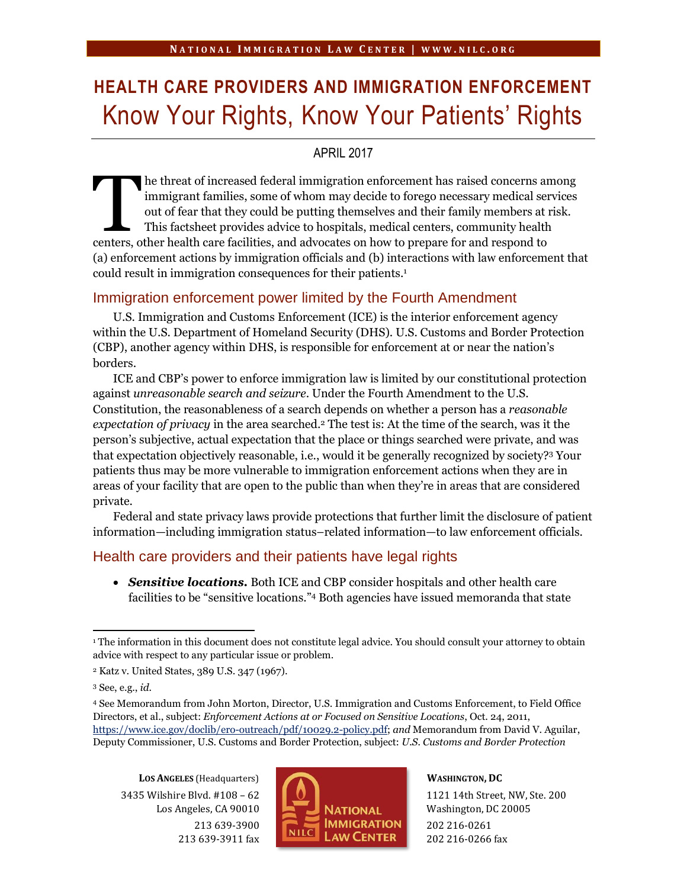# **HEALTH CARE PROVIDERS AND IMMIGRATION ENFORCEMENT** Know Your Rights, Know Your Patients' Rights

## APRIL 2017

he threat of increased federal immigration enforcement has raised concerns among immigrant families, some of whom may decide to forego necessary medical services out of fear that they could be putting themselves and their family members at risk. This factsheet provides advice to hospitals, medical centers, community health The threat of increased federal immigration enforcement has raised concerns are immigrant families, some of whom may decide to forego necessary medical served out of fear that they could be putting themselves and their fam (a) enforcement actions by immigration officials and (b) interactions with law enforcement that could result in immigration consequences for their patients.<sup>1</sup>

## Immigration enforcement power limited by the Fourth Amendment

U.S. Immigration and Customs Enforcement (ICE) is the interior enforcement agency within the U.S. Department of Homeland Security (DHS). U.S. Customs and Border Protection (CBP), another agency within DHS, is responsible for enforcement at or near the nation's borders.

ICE and CBP's power to enforce immigration law is limited by our constitutional protection against *unreasonable search and seizure*. Under the Fourth Amendment to the U.S. Constitution, the reasonableness of a search depends on whether a person has a *reasonable expectation of privacy* in the area searched.<sup>2</sup> The test is: At the time of the search, was it the person's subjective, actual expectation that the place or things searched were private, and was that expectation objectively reasonable, i.e., would it be generally recognized by society? <sup>3</sup> Your patients thus may be more vulnerable to immigration enforcement actions when they are in areas of your facility that are open to the public than when they're in areas that are considered private.

Federal and state privacy laws provide protections that further limit the disclosure of patient information—including immigration status–related information—to law enforcement officials.

### Health care providers and their patients have legal rights

 *Sensitive locations.* Both ICE and CBP consider hospitals and other health care facilities to be "sensitive locations." <sup>4</sup> Both agencies have issued memoranda that state

**LOS ANGELES** (Headquarters) 3435 Wilshire Blvd. #108 – 62 Los Angeles, CA 90010 213 639-3900 213 639-3911 fax



**WASHINGTON, DC**

1121 14th Street, NW, Ste. 200 Washington, DC 20005 202 216-0261 202 216-0266 fax

 $\overline{a}$ <sup>1</sup> The information in this document does not constitute legal advice. You should consult your attorney to obtain advice with respect to any particular issue or problem.

<sup>2</sup> Katz v. United States, 389 U.S. 347 (1967).

<sup>3</sup> See, e.g., *id.*

<sup>4</sup> See Memorandum from John Morton, Director, U.S. Immigration and Customs Enforcement, to Field Office Directors, et al., subject: *Enforcement Actions at or Focused on Sensitive Locations*, Oct. 24, 2011, [https://www.ice.gov/doclib/ero-outreach/pdf/10029.2-policy.pdf;](https://www.ice.gov/doclib/ero-outreach/pdf/10029.2-policy.pdf) *and* Memorandum from David V. Aguilar, Deputy Commissioner, U.S. Customs and Border Protection, subject: *U.S. Customs and Border Protection*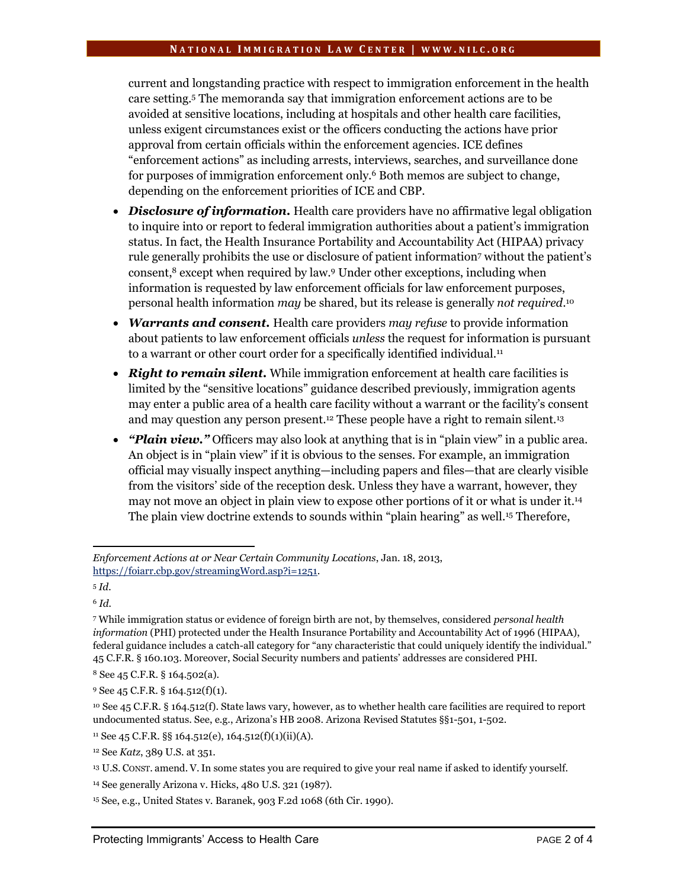#### **N A T I O N A L I M M I G R A T I O N L A W C E N T E R | W W W . N I L C . O R G**

current and longstanding practice with respect to immigration enforcement in the health care setting.<sup>5</sup> The memoranda say that immigration enforcement actions are to be avoided at sensitive locations, including at hospitals and other health care facilities, unless exigent circumstances exist or the officers conducting the actions have prior approval from certain officials within the enforcement agencies. ICE defines "enforcement actions" as including arrests, interviews, searches, and surveillance done for purposes of immigration enforcement only.<sup>6</sup> Both memos are subject to change, depending on the enforcement priorities of ICE and CBP.

- *Disclosure of information.* Health care providers have no affirmative legal obligation to inquire into or report to federal immigration authorities about a patient's immigration status. In fact, the Health Insurance Portability and Accountability Act (HIPAA) privacy rule generally prohibits the use or disclosure of patient information<sup>7</sup> without the patient's consent,<sup>8</sup> except when required by law.<sup>9</sup> Under other exceptions, including when information is requested by law enforcement officials for law enforcement purposes, personal health information *may* be shared, but its release is generally *not required*. 10
- *Warrants and consent.* Health care providers *may refuse* to provide information about patients to law enforcement officials *unless* the request for information is pursuant to a warrant or other court order for a specifically identified individual.<sup>11</sup>
- *Right to remain silent.* While immigration enforcement at health care facilities is limited by the "sensitive locations" guidance described previously, immigration agents may enter a public area of a health care facility without a warrant or the facility's consent and may question any person present.<sup>12</sup> These people have a right to remain silent.<sup>13</sup>
- *"Plain view."* Officers may also look at anything that is in "plain view" in a public area. An object is in "plain view" if it is obvious to the senses. For example, an immigration official may visually inspect anything—including papers and files—that are clearly visible from the visitors' side of the reception desk. Unless they have a warrant, however, they may not move an object in plain view to expose other portions of it or what is under it.<sup>14</sup> The plain view doctrine extends to sounds within "plain hearing" as well.<sup>15</sup> Therefore,

 $\overline{a}$ 

<sup>11</sup> See 45 C.F.R. §§ 164.512(e), 164.512(f)(1)(ii)(A).

*Enforcement Actions at or Near Certain Community Locations*, Jan. 18, 2013, [https://foiarr.cbp.gov/streamingWord.asp?i=1251.](https://foiarr.cbp.gov/streamingWord.asp?i=1251)

<sup>5</sup> *Id.*

<sup>6</sup> *Id.*

<sup>7</sup> While immigration status or evidence of foreign birth are not, by themselves, considered *personal health information* (PHI) protected under the Health Insurance Portability and Accountability Act of 1996 (HIPAA), federal guidance includes a catch-all category for "any characteristic that could uniquely identify the individual." 45 C.F.R. § 160.103. Moreover, Social Security numbers and patients' addresses are considered PHI.

<sup>8</sup> See 45 C.F.R. § 164.502(a).

<sup>9</sup> See 45 C.F.R. § 164.512(f)(1).

<sup>10</sup> See 45 C.F.R. § 164.512(f). State laws vary, however, as to whether health care facilities are required to report undocumented status. See, e.g., Arizona's HB 2008. Arizona Revised Statutes §§1-501, 1-502.

<sup>12</sup> See *Katz*, 389 U.S. at 351.

<sup>13</sup> U.S. CONST. amend. V.In some states you are required to give your real name if asked to identify yourself.

<sup>14</sup> See generally Arizona v. Hicks, 480 U.S. 321 (1987).

<sup>15</sup> See, e.g., United States v. Baranek, 903 F.2d 1068 (6th Cir. 1990).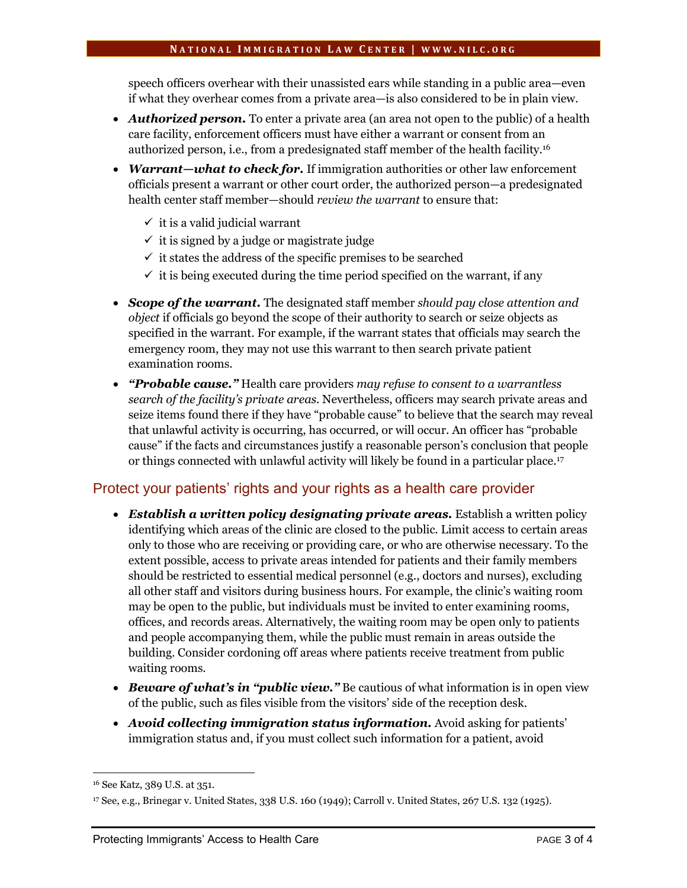#### **N A T I O N A L I M M I G R A T I O N L A W C E N T E R | W W W . N I L C . O R G**

speech officers overhear with their unassisted ears while standing in a public area—even if what they overhear comes from a private area—is also considered to be in plain view.

- *Authorized person.* To enter a private area (an area not open to the public) of a health care facility, enforcement officers must have either a warrant or consent from an authorized person, i.e., from a predesignated staff member of the health facility. 16
- *Warrant—what to check for.* If immigration authorities or other law enforcement officials present a warrant or other court order, the authorized person—a predesignated health center staff member—should *review the warrant* to ensure that:
	- $\checkmark$  it is a valid judicial warrant
	- $\checkmark$  it is signed by a judge or magistrate judge
	- $\checkmark$  it states the address of the specific premises to be searched
	- $\checkmark$  it is being executed during the time period specified on the warrant, if any
- *Scope of the warrant.* The designated staff member *should pay close attention and object* if officials go beyond the scope of their authority to search or seize objects as specified in the warrant. For example, if the warrant states that officials may search the emergency room, they may not use this warrant to then search private patient examination rooms.
- *"Probable cause."* Health care providers *may refuse to consent to a warrantless search of the facility's private areas*. Nevertheless, officers may search private areas and seize items found there if they have "probable cause" to believe that the search may reveal that unlawful activity is occurring, has occurred, or will occur. An officer has "probable cause" if the facts and circumstances justify a reasonable person's conclusion that people or things connected with unlawful activity will likely be found in a particular place.<sup>17</sup>

## Protect your patients' rights and your rights as a health care provider

- *Establish a written policy designating private areas.* Establish a written policy identifying which areas of the clinic are closed to the public. Limit access to certain areas only to those who are receiving or providing care, or who are otherwise necessary. To the extent possible, access to private areas intended for patients and their family members should be restricted to essential medical personnel (e.g., doctors and nurses), excluding all other staff and visitors during business hours. For example, the clinic's waiting room may be open to the public, but individuals must be invited to enter examining rooms, offices, and records areas. Alternatively, the waiting room may be open only to patients and people accompanying them, while the public must remain in areas outside the building. Consider cordoning off areas where patients receive treatment from public waiting rooms.
- *Beware of what's in "public view."* Be cautious of what information is in open view of the public, such as files visible from the visitors' side of the reception desk.
- *Avoid collecting immigration status information.* Avoid asking for patients' immigration status and, if you must collect such information for a patient, avoid

 $\overline{a}$ 

<sup>16</sup> See Katz, 389 U.S. at 351.

<sup>17</sup> See, e.g., Brinegar v. United States, 338 U.S. 160 (1949); Carroll v. United States, 267 U.S. 132 (1925).